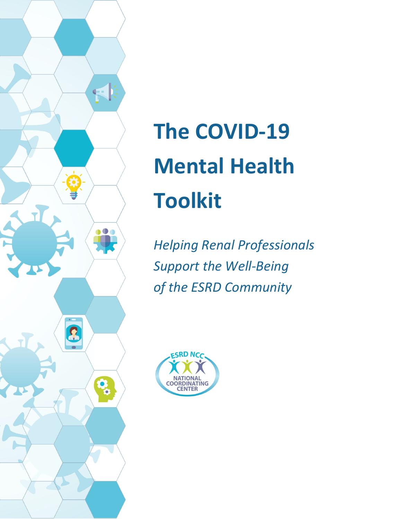

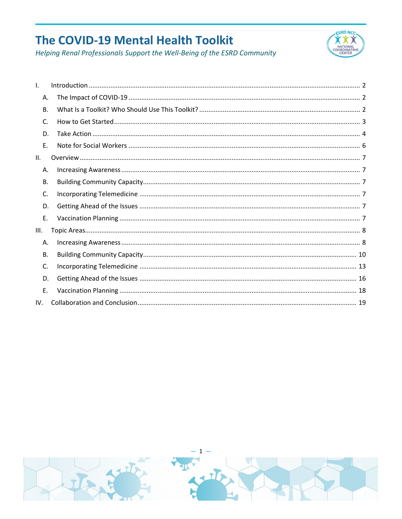

| I.   |  |
|------|--|
| А.   |  |
| В.   |  |
| C.   |  |
| D.   |  |
| E.   |  |
| II.  |  |
| Α.   |  |
| В.   |  |
| C.   |  |
| D.   |  |
| E.   |  |
| III. |  |
| Α.   |  |
| В.   |  |
| C.   |  |
| D.   |  |
| E.   |  |
| IV.  |  |

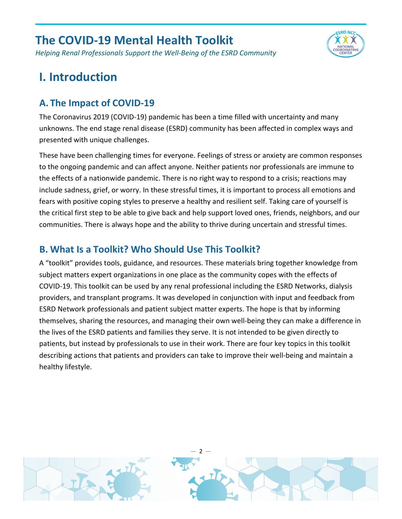*Helping Renal Professionals Support the Well-Being of the ESRD Community*



## <span id="page-2-0"></span>**I. Introduction**

#### <span id="page-2-1"></span>**A. The Impact of COVID-19**

The Coronavirus 2019 (COVID-19) pandemic has been a time filled with uncertainty and many unknowns. The end stage renal disease (ESRD) community has been affected in complex ways and presented with unique challenges.

These have been challenging times for everyone. Feelings of stress or anxiety are common responses to the ongoing pandemic and can affect anyone. Neither patients nor professionals are immune to the effects of a nationwide pandemic. There is no right way to respond to a crisis; reactions may include sadness, grief, or worry. In these stressful times, it is important to process all emotions and fears with positive coping styles to preserve a healthy and resilient self. Taking care of yourself is the critical first step to be able to give back and help support loved ones, friends, neighbors, and our communities. There is always hope and the ability to thrive during uncertain and stressful times.

#### <span id="page-2-2"></span>**B. What Is a Toolkit? Who Should Use This Toolkit?**

A "toolkit" provides tools, guidance, and resources. These materials bring together knowledge from subject matters expert organizations in one place as the community copes with the effects of COVID-19. This toolkit can be used by any renal professional including the ESRD Networks, dialysis providers, and transplant programs. It was developed in conjunction with input and feedback from ESRD Network professionals and patient subject matter experts. The hope is that by informing themselves, sharing the resources, and managing their own well-being they can make a difference in the lives of the ESRD patients and families they serve. It is not intended to be given directly to patients, but instead by professionals to use in their work. There are four key topics in this toolkit describing actions that patients and providers can take to improve their well-being and maintain a healthy lifestyle.

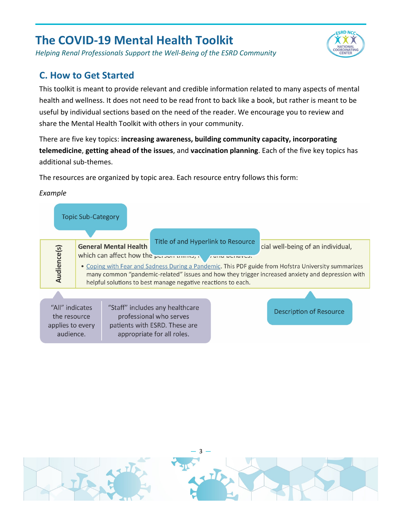*Helping Renal Professionals Support the Well-Being of the ESRD Community*

#### <span id="page-3-0"></span>**C. How to Get Started**

This toolkit is meant to provide relevant and credible information related to many aspects of mental health and wellness. It does not need to be read front to back like a book, but rather is meant to be useful by individual sections based on the need of the reader. We encourage you to review and share the Mental Health Toolkit with others in your community.

**ESRD NCC**  $\alpha x$ 

There are five key topics: **increasing awareness, building community capacity, incorporating telemedicine**, **getting ahead of the issues**, and **vaccination planning**. Each of the five key topics has additional sub-themes.

The resources are organized by topic area. Each resource entry follows this form:

#### *Example*

|                                                                  | <b>Topic Sub-Category</b> |                              |                                                                                                                                                               |                                                                                                                                                                                                                                              |
|------------------------------------------------------------------|---------------------------|------------------------------|---------------------------------------------------------------------------------------------------------------------------------------------------------------|----------------------------------------------------------------------------------------------------------------------------------------------------------------------------------------------------------------------------------------------|
| Audience(s)                                                      |                           | <b>General Mental Health</b> | Title of and Hyperlink to Resource<br>which can affect how the person unino, a pain permanes.<br>helpful solutions to best manage negative reactions to each. | cial well-being of an individual,<br>• Coping with Fear and Sadness During a Pandemic. This PDF guide from Hofstra University summarizes<br>many common "pandemic-related" issues and how they trigger increased anxiety and depression with |
|                                                                  |                           |                              |                                                                                                                                                               |                                                                                                                                                                                                                                              |
| "All" indicates<br>the resource<br>applies to every<br>audience. |                           |                              | "Staff" includes any healthcare<br>professional who serves<br>patients with ESRD. These are<br>appropriate for all roles.                                     | <b>Description of Resource</b>                                                                                                                                                                                                               |

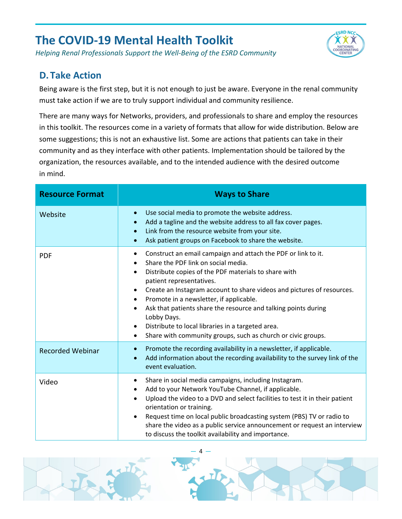*Helping Renal Professionals Support the Well-Being of the ESRD Community*

#### <span id="page-4-0"></span>**D. Take Action**

Being aware is the first step, but it is not enough to just be aware. Everyone in the renal community must take action if we are to truly support individual and community resilience.

**ESRD NCC**  $\alpha x$ 

There are many ways for Networks, providers, and professionals to share and employ the resources in this toolkit. The resources come in a variety of formats that allow for wide distribution. Below are some suggestions; this is not an exhaustive list. Some are actions that patients can take in their community and as they interface with other patients. Implementation should be tailored by the organization, the resources available, and to the intended audience with the desired outcome in mind.

| <b>Resource Format</b>  | <b>Ways to Share</b>                                                                                                                                                                                                                                                                                                                                                                                                                                                                                                                                                                                                        |
|-------------------------|-----------------------------------------------------------------------------------------------------------------------------------------------------------------------------------------------------------------------------------------------------------------------------------------------------------------------------------------------------------------------------------------------------------------------------------------------------------------------------------------------------------------------------------------------------------------------------------------------------------------------------|
| Website                 | Use social media to promote the website address.<br>$\bullet$<br>Add a tagline and the website address to all fax cover pages.<br>$\bullet$<br>Link from the resource website from your site.<br>$\bullet$<br>Ask patient groups on Facebook to share the website.<br>$\bullet$                                                                                                                                                                                                                                                                                                                                             |
| <b>PDF</b>              | Construct an email campaign and attach the PDF or link to it.<br>$\bullet$<br>Share the PDF link on social media.<br>$\bullet$<br>Distribute copies of the PDF materials to share with<br>$\bullet$<br>patient representatives.<br>Create an Instagram account to share videos and pictures of resources.<br>$\bullet$<br>Promote in a newsletter, if applicable.<br>$\bullet$<br>Ask that patients share the resource and talking points during<br>$\bullet$<br>Lobby Days.<br>Distribute to local libraries in a targeted area.<br>$\bullet$<br>Share with community groups, such as church or civic groups.<br>$\bullet$ |
| <b>Recorded Webinar</b> | Promote the recording availability in a newsletter, if applicable.<br>$\bullet$<br>Add information about the recording availability to the survey link of the<br>$\bullet$<br>event evaluation.                                                                                                                                                                                                                                                                                                                                                                                                                             |
| Video                   | Share in social media campaigns, including Instagram.<br>$\bullet$<br>Add to your Network YouTube Channel, if applicable.<br>$\bullet$<br>Upload the video to a DVD and select facilities to test it in their patient<br>$\bullet$<br>orientation or training.<br>Request time on local public broadcasting system (PBS) TV or radio to<br>$\bullet$<br>share the video as a public service announcement or request an interview<br>to discuss the toolkit availability and importance.                                                                                                                                     |

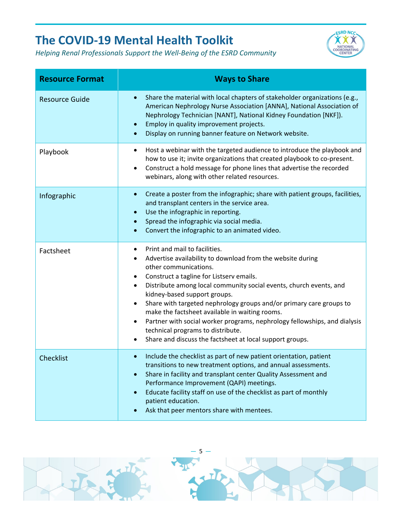

| <b>Resource Format</b> | <b>Ways to Share</b>                                                                                                                                                                                                                                                                                                                                                                                                                                                                                                                                                                            |
|------------------------|-------------------------------------------------------------------------------------------------------------------------------------------------------------------------------------------------------------------------------------------------------------------------------------------------------------------------------------------------------------------------------------------------------------------------------------------------------------------------------------------------------------------------------------------------------------------------------------------------|
| <b>Resource Guide</b>  | Share the material with local chapters of stakeholder organizations (e.g.,<br>$\bullet$<br>American Nephrology Nurse Association [ANNA], National Association of<br>Nephrology Technician [NANT], National Kidney Foundation [NKF]).<br>Employ in quality improvement projects.<br>$\bullet$<br>Display on running banner feature on Network website.                                                                                                                                                                                                                                           |
| Playbook               | Host a webinar with the targeted audience to introduce the playbook and<br>$\bullet$<br>how to use it; invite organizations that created playbook to co-present.<br>Construct a hold message for phone lines that advertise the recorded<br>$\bullet$<br>webinars, along with other related resources.                                                                                                                                                                                                                                                                                          |
| Infographic            | Create a poster from the infographic; share with patient groups, facilities,<br>$\bullet$<br>and transplant centers in the service area.<br>Use the infographic in reporting.<br>$\bullet$<br>Spread the infographic via social media.<br>Convert the infographic to an animated video.                                                                                                                                                                                                                                                                                                         |
| Factsheet              | Print and mail to facilities.<br>Advertise availability to download from the website during<br>٠<br>other communications.<br>Construct a tagline for Listserv emails.<br>Distribute among local community social events, church events, and<br>kidney-based support groups.<br>Share with targeted nephrology groups and/or primary care groups to<br>make the factsheet available in waiting rooms.<br>Partner with social worker programs, nephrology fellowships, and dialysis<br>$\bullet$<br>technical programs to distribute.<br>Share and discuss the factsheet at local support groups. |
| Checklist              | Include the checklist as part of new patient orientation, patient<br>$\bullet$<br>transitions to new treatment options, and annual assessments.<br>Share in facility and transplant center Quality Assessment and<br>$\bullet$<br>Performance Improvement (QAPI) meetings.<br>Educate facility staff on use of the checklist as part of monthly<br>$\bullet$<br>patient education.<br>Ask that peer mentors share with mentees.                                                                                                                                                                 |

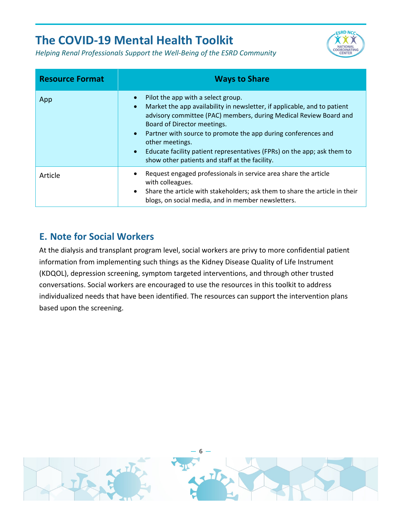



| <b>Resource Format</b> | <b>Ways to Share</b>                                                                                                                                                                                                                                                                                                                                                                                                                                                                    |
|------------------------|-----------------------------------------------------------------------------------------------------------------------------------------------------------------------------------------------------------------------------------------------------------------------------------------------------------------------------------------------------------------------------------------------------------------------------------------------------------------------------------------|
| App                    | Pilot the app with a select group.<br>$\bullet$<br>Market the app availability in newsletter, if applicable, and to patient<br>$\bullet$<br>advisory committee (PAC) members, during Medical Review Board and<br>Board of Director meetings.<br>Partner with source to promote the app during conferences and<br>$\bullet$<br>other meetings.<br>Educate facility patient representatives (FPRs) on the app; ask them to<br>$\bullet$<br>show other patients and staff at the facility. |
| Article                | Request engaged professionals in service area share the article<br>$\bullet$<br>with colleagues.<br>Share the article with stakeholders; ask them to share the article in their<br>$\bullet$<br>blogs, on social media, and in member newsletters.                                                                                                                                                                                                                                      |

#### <span id="page-6-0"></span>**E. Note for Social Workers**

At the dialysis and transplant program level, social workers are privy to more confidential patient information from implementing such things as the Kidney Disease Quality of Life Instrument (KDQOL), depression screening, symptom targeted interventions, and through other trusted conversations. Social workers are encouraged to use the resources in this toolkit to address individualized needs that have been identified. The resources can support the intervention plans based upon the screening.

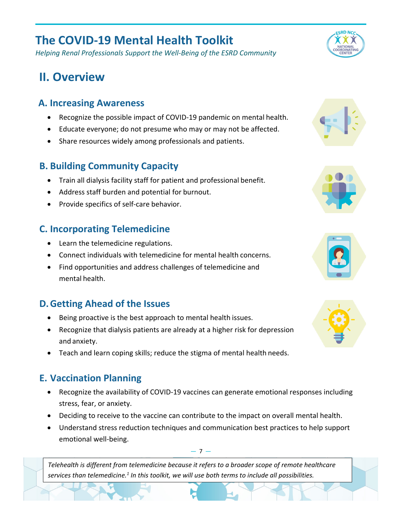*Helping Renal Professionals Support the Well-Being of the ESRD Community*

# <span id="page-7-0"></span>**II. Overview**

#### <span id="page-7-1"></span>**A. Increasing Awareness**

- Recognize the possible impact of COVID-19 pandemic on mental health.
- Educate everyone; do not presume who may or may not be affected.
- Share resources widely among professionals and patients.

#### <span id="page-7-2"></span>**B. Building Community Capacity**

- Train all dialysis facility staff for patient and professional benefit.
- Address staff burden and potential for burnout.
- Provide specifics of self-care behavior.

#### <span id="page-7-3"></span>**C. Incorporating Telemedicine**

- Learn the telemedicine regulations.
- Connect individuals with telemedicine for mental health concerns.
- Find opportunities and address challenges of telemedicine and mental health.

#### <span id="page-7-4"></span>**D.Getting Ahead of the Issues**

- Being proactive is the best approach to mental health issues.
- Recognize that dialysis patients are already at a higher risk for depression and anxiety.
- Teach and learn coping skills; reduce the stigma of mental health needs.

#### <span id="page-7-5"></span>**E. Vaccination Planning**

- Recognize the availability of COVID-19 vaccines can generate emotional responses including stress, fear, or anxiety.
- Deciding to receive to the vaccine can contribute to the impact on overall mental health.
- Understand stress reduction techniques and communication best practices to help support emotional well-being.

*Telehealth is different from telemedicine because it refers to a broader scope of remote healthcare services than telemedicine.1 In this toolkit, we will use both terms to include all possibilities.*



**ESRD NCC** 











 $-7 -$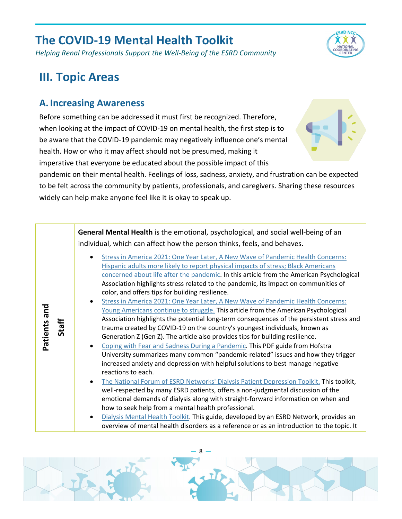*Helping Renal Professionals Support the Well-Being of the ESRD Community*

## **ESRD NCC i xx**

## <span id="page-8-0"></span>**III. Topic Areas**

#### <span id="page-8-1"></span>**A. Increasing Awareness**

Before something can be addressed it must first be recognized. Therefore, when looking at the impact of COVID-19 on mental health, the first step is to be aware that the COVID-19 pandemic may negatively influence one's mental health. How or who it may affect should not be presumed, making it imperative that everyone be educated about the possible impact of this



pandemic on their mental health. Feelings of loss, sadness, anxiety, and frustration can be expected to be felt across the community by patients, professionals, and caregivers. Sharing these resources widely can help make anyone feel like it is okay to speak up.

|              |       | General Mental Health is the emotional, psychological, and social well-being of an<br>individual, which can affect how the person thinks, feels, and behaves.                                                                                                                                                                                                                                                                                                                                                                                                                                                                                                                                                                                                                                                                                                                                                                                                                                                                                                                                                                                                                                                                                                                                                                                                                                                                                                                                                                                                                                                                              |
|--------------|-------|--------------------------------------------------------------------------------------------------------------------------------------------------------------------------------------------------------------------------------------------------------------------------------------------------------------------------------------------------------------------------------------------------------------------------------------------------------------------------------------------------------------------------------------------------------------------------------------------------------------------------------------------------------------------------------------------------------------------------------------------------------------------------------------------------------------------------------------------------------------------------------------------------------------------------------------------------------------------------------------------------------------------------------------------------------------------------------------------------------------------------------------------------------------------------------------------------------------------------------------------------------------------------------------------------------------------------------------------------------------------------------------------------------------------------------------------------------------------------------------------------------------------------------------------------------------------------------------------------------------------------------------------|
| Patients and | Staff | Stress in America 2021: One Year Later, A New Wave of Pandemic Health Concerns:<br>Hispanic adults more likely to report physical impacts of stress; Black Americans<br>concerned about life after the pandemic. In this article from the American Psychological<br>Association highlights stress related to the pandemic, its impact on communities of<br>color, and offers tips for building resilience.<br>Stress in America 2021: One Year Later, A New Wave of Pandemic Health Concerns:<br>Young Americans continue to struggle. This article from the American Psychological<br>Association highlights the potential long-term consequences of the persistent stress and<br>trauma created by COVID-19 on the country's youngest individuals, known as<br>Generation Z (Gen Z). The article also provides tips for building resilience.<br>Coping with Fear and Sadness During a Pandemic. This PDF guide from Hofstra<br>University summarizes many common "pandemic-related" issues and how they trigger<br>increased anxiety and depression with helpful solutions to best manage negative<br>reactions to each.<br>The National Forum of ESRD Networks' Dialysis Patient Depression Toolkit. This toolkit,<br>well-respected by many ESRD patients, offers a non-judgmental discussion of the<br>emotional demands of dialysis along with straight-forward information on when and<br>how to seek help from a mental health professional.<br>Dialysis Mental Health Toolkit. This guide, developed by an ESRD Network, provides an<br>overview of mental health disorders as a reference or as an introduction to the topic. It |

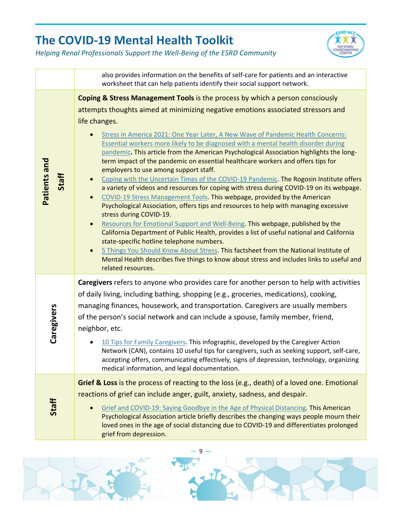

|                       | also provides information on the benefits of self-care for patients and an interactive<br>worksheet that can help patients identify their social support network.                                                                                                                                                                                                                                                                                                                                                                                                                                                                                                                                                                                                                                                                                                                                                                                                                                                                                                                                                                                                                                                                                                                                                                                                                                                                                     |
|-----------------------|-------------------------------------------------------------------------------------------------------------------------------------------------------------------------------------------------------------------------------------------------------------------------------------------------------------------------------------------------------------------------------------------------------------------------------------------------------------------------------------------------------------------------------------------------------------------------------------------------------------------------------------------------------------------------------------------------------------------------------------------------------------------------------------------------------------------------------------------------------------------------------------------------------------------------------------------------------------------------------------------------------------------------------------------------------------------------------------------------------------------------------------------------------------------------------------------------------------------------------------------------------------------------------------------------------------------------------------------------------------------------------------------------------------------------------------------------------|
| Patients and<br>Staff | Coping & Stress Management Tools is the process by which a person consciously<br>attempts thoughts aimed at minimizing negative emotions associated stressors and<br>life changes.<br>Stress in America 2021: One Year Later, A New Wave of Pandemic Health Concerns:<br>Essential workers more likely to be diagnosed with a mental health disorder during<br>pandemic. This article from the American Psychological Association highlights the long-<br>term impact of the pandemic on essential healthcare workers and offers tips for<br>employers to use among support staff.<br>Coping with the Uncertain Times of the COVID-19 Pandemic. The Rogosin Institute offers<br>$\bullet$<br>a variety of videos and resources for coping with stress during COVID-19 on its webpage.<br>COVID-19 Stress Management Tools. This webpage, provided by the American<br>$\bullet$<br>Psychological Association, offers tips and resources to help with managing excessive<br>stress during COVID-19.<br>Resources for Emotional Support and Well-Being. This webpage, published by the<br>California Department of Public Health, provides a list of useful national and California<br>state-specific hotline telephone numbers.<br>5 Things You Should Know About Stress. This factsheet from the National Institute of<br>$\bullet$<br>Mental Health describes five things to know about stress and includes links to useful and<br>related resources. |
| Caregivers            | Caregivers refers to anyone who provides care for another person to help with activities<br>of daily living, including bathing, shopping (e.g., groceries, medications), cooking,<br>managing finances, housework, and transportation. Caregivers are usually members<br>of the person's social network and can include a spouse, family member, friend,<br>neighbor, etc.<br>10 Tips for Family Caregivers. This infographic, developed by the Caregiver Action<br>Network (CAN), contains 10 useful tips for caregivers, such as seeking support, self-care,<br>accepting offers, communicating effectively, signs of depression, technology, organizing<br>medical information, and legal documentation.                                                                                                                                                                                                                                                                                                                                                                                                                                                                                                                                                                                                                                                                                                                                           |
| Staff                 | Grief & Loss is the process of reacting to the loss (e.g., death) of a loved one. Emotional<br>reactions of grief can include anger, guilt, anxiety, sadness, and despair.<br>Grief and COVID-19: Saying Goodbye in the Age of Physical Distancing. This American<br>Psychological Association article briefly describes the changing ways people mourn their<br>loved ones in the age of social distancing due to COVID-19 and differentiates prolonged<br>grief from depression.                                                                                                                                                                                                                                                                                                                                                                                                                                                                                                                                                                                                                                                                                                                                                                                                                                                                                                                                                                    |

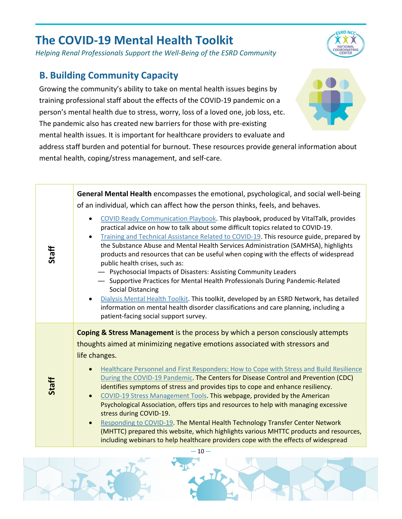*Helping Renal Professionals Support the Well-Being of the ESRD Community*

#### <span id="page-10-0"></span>**B. Building Community Capacity**

Growing the community's ability to take on mental health issues begins by training professional staff about the effects of the COVID-19 pandemic on a person's mental health due to stress, worry, loss of a loved one, job loss, etc. The pandemic also has created new barriers for those with pre-existing mental health issues. It is important for healthcare providers to evaluate and

address staff burden and potential for burnout. These resources provide general information about mental health, coping/stress management, and self-care.

| Staff | General Mental Health encompasses the emotional, psychological, and social well-being<br>of an individual, which can affect how the person thinks, feels, and behaves.<br>COVID Ready Communication Playbook. This playbook, produced by VitalTalk, provides<br>$\bullet$<br>practical advice on how to talk about some difficult topics related to COVID-19.<br>Training and Technical Assistance Related to COVID-19. This resource guide, prepared by<br>$\bullet$<br>the Substance Abuse and Mental Health Services Administration (SAMHSA), highlights<br>products and resources that can be useful when coping with the effects of widespread<br>public health crises, such as:<br>- Psychosocial Impacts of Disasters: Assisting Community Leaders<br>- Supportive Practices for Mental Health Professionals During Pandemic-Related<br><b>Social Distancing</b><br>Dialysis Mental Health Toolkit. This toolkit, developed by an ESRD Network, has detailed<br>$\bullet$<br>information on mental health disorder classifications and care planning, including a<br>patient-facing social support survey. |
|-------|-------------------------------------------------------------------------------------------------------------------------------------------------------------------------------------------------------------------------------------------------------------------------------------------------------------------------------------------------------------------------------------------------------------------------------------------------------------------------------------------------------------------------------------------------------------------------------------------------------------------------------------------------------------------------------------------------------------------------------------------------------------------------------------------------------------------------------------------------------------------------------------------------------------------------------------------------------------------------------------------------------------------------------------------------------------------------------------------------------------------|
| Staff | <b>Coping &amp; Stress Management</b> is the process by which a person consciously attempts<br>thoughts aimed at minimizing negative emotions associated with stressors and<br>life changes.<br>Healthcare Personnel and First Responders: How to Cope with Stress and Build Resilience<br>$\bullet$<br>During the COVID-19 Pandemic. The Centers for Disease Control and Prevention (CDC)<br>identifies symptoms of stress and provides tips to cope and enhance resiliency.<br>COVID-19 Stress Management Tools. This webpage, provided by the American<br>$\bullet$<br>Psychological Association, offers tips and resources to help with managing excessive<br>stress during COVID-19.<br>Responding to COVID-19. The Mental Health Technology Transfer Center Network<br>$\bullet$<br>(MHTTC) prepared this website, which highlights various MHTTC products and resources,<br>including webinars to help healthcare providers cope with the effects of widespread<br>$-10-$                                                                                                                                  |





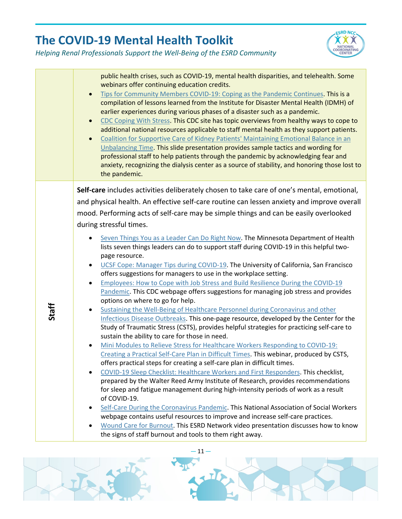



|       | public health crises, such as COVID-19, mental health disparities, and telehealth. Some<br>webinars offer continuing education credits.<br>Tips for Community Members COVID-19: Coping as the Pandemic Continues. This is a<br>$\bullet$<br>compilation of lessons learned from the Institute for Disaster Mental Health (IDMH) of<br>earlier experiences during various phases of a disaster such as a pandemic.<br>CDC Coping With Stress. This CDC site has topic overviews from healthy ways to cope to<br>$\bullet$<br>additional national resources applicable to staff mental health as they support patients.<br>Coalition for Supportive Care of Kidney Patients' Maintaining Emotional Balance in an<br>$\bullet$<br>Unbalancing Time. This slide presentation provides sample tactics and wording for<br>professional staff to help patients through the pandemic by acknowledging fear and<br>anxiety, recognizing the dialysis center as a source of stability, and honoring those lost to<br>the pandemic.                                                                                                                                                                                                                                                                                                                                                                                                                                                                                                                                                                                                                     |
|-------|----------------------------------------------------------------------------------------------------------------------------------------------------------------------------------------------------------------------------------------------------------------------------------------------------------------------------------------------------------------------------------------------------------------------------------------------------------------------------------------------------------------------------------------------------------------------------------------------------------------------------------------------------------------------------------------------------------------------------------------------------------------------------------------------------------------------------------------------------------------------------------------------------------------------------------------------------------------------------------------------------------------------------------------------------------------------------------------------------------------------------------------------------------------------------------------------------------------------------------------------------------------------------------------------------------------------------------------------------------------------------------------------------------------------------------------------------------------------------------------------------------------------------------------------------------------------------------------------------------------------------------------------|
| Staff | Self-care includes activities deliberately chosen to take care of one's mental, emotional,<br>and physical health. An effective self-care routine can lessen anxiety and improve overall<br>mood. Performing acts of self-care may be simple things and can be easily overlooked<br>during stressful times.<br>Seven Things You as a Leader Can Do Right Now. The Minnesota Department of Health<br>$\bullet$<br>lists seven things leaders can do to support staff during COVID-19 in this helpful two-<br>page resource.<br>UCSF Cope: Manager Tips during COVID-19. The University of California, San Francisco<br>$\bullet$<br>offers suggestions for managers to use in the workplace setting.<br>Employees: How to Cope with Job Stress and Build Resilience During the COVID-19<br>$\bullet$<br>Pandemic. This CDC webpage offers suggestions for managing job stress and provides<br>options on where to go for help.<br>Sustaining the Well-Being of Healthcare Personnel during Coronavirus and other<br>$\bullet$<br>Infectious Disease Outbreaks. This one-page resource, developed by the Center for the<br>Study of Traumatic Stress (CSTS), provides helpful strategies for practicing self-care to<br>sustain the ability to care for those in need.<br>Mini Modules to Relieve Stress for Healthcare Workers Responding to COVID-19:<br>$\bullet$<br>Creating a Practical Self-Care Plan in Difficult Times. This webinar, produced by CSTS,<br>offers practical steps for creating a self-care plan in difficult times.<br>COVID-19 Sleep Checklist: Healthcare Workers and First Responders. This checklist,<br>$\bullet$ |
|       | prepared by the Walter Reed Army Institute of Research, provides recommendations<br>for sleep and fatigue management during high-intensity periods of work as a result<br>of COVID-19.<br>Self-Care During the Coronavirus Pandemic. This National Association of Social Workers<br>$\bullet$<br>webpage contains useful resources to improve and increase self-care practices.<br>Wound Care for Burnout. This ESRD Network video presentation discusses how to know<br>the signs of staff burnout and tools to them right away.                                                                                                                                                                                                                                                                                                                                                                                                                                                                                                                                                                                                                                                                                                                                                                                                                                                                                                                                                                                                                                                                                                            |

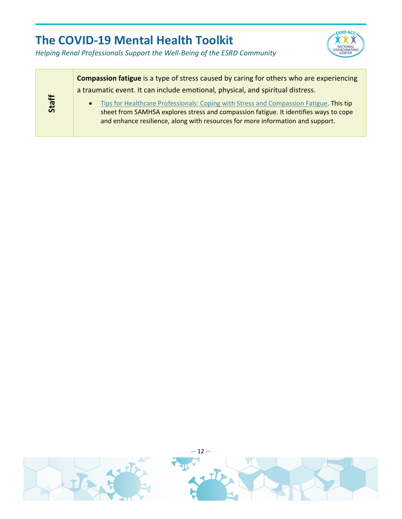

|       | <b>Compassion fatigue</b> is a type of stress caused by caring for others who are experiencing                                                                                                                                                                   |  |  |
|-------|------------------------------------------------------------------------------------------------------------------------------------------------------------------------------------------------------------------------------------------------------------------|--|--|
|       | a traumatic event. It can include emotional, physical, and spiritual distress.                                                                                                                                                                                   |  |  |
| Staff | Tips for Healthcare Professionals: Coping with Stress and Compassion Fatigue. This tip<br>sheet from SAMHSA explores stress and compassion fatigue. It identifies ways to cope<br>and enhance resilience, along with resources for more information and support. |  |  |

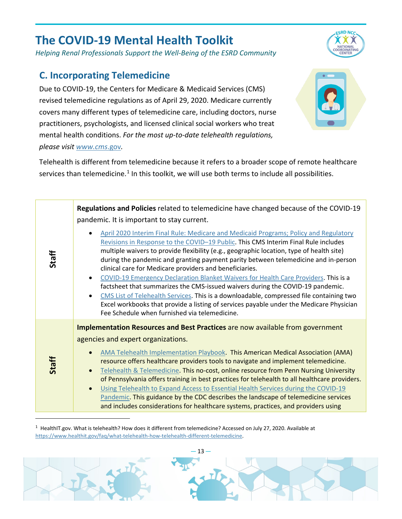*Helping Renal Professionals Support the Well-Being of the ESRD Community*

#### <span id="page-13-0"></span>**C. Incorporating Telemedicine**

Due to COVID-19, the Centers for Medicare & Medicaid Services (CMS) revised telemedicine regulations as of April 29, 2020. Medicare currently covers many different types of telemedicine care, including doctors, nurse practitioners, psychologists, and licensed clinical social workers who treat mental health conditions. *For the most up-to-date telehealth regulations, please visit [www.cms](http://www.cms.gov/)*.gov*.* 



**ESRD NCC**  $\alpha$ 

Telehealth is different from telemedicine because it refers to a broader scope of remote healthcare services than telemedicine.<sup>[1](#page-13-1)</sup> In this toolkit, we will use both terms to include all possibilities.

|       | Regulations and Policies related to telemedicine have changed because of the COVID-19<br>pandemic. It is important to stay current.                                                                                                                                                                                                                                                                                                                                                                                                                                                                                                                                                                                                                                                                                                                  |
|-------|------------------------------------------------------------------------------------------------------------------------------------------------------------------------------------------------------------------------------------------------------------------------------------------------------------------------------------------------------------------------------------------------------------------------------------------------------------------------------------------------------------------------------------------------------------------------------------------------------------------------------------------------------------------------------------------------------------------------------------------------------------------------------------------------------------------------------------------------------|
| Staff | April 2020 Interim Final Rule: Medicare and Medicaid Programs; Policy and Regulatory<br>Revisions in Response to the COVID-19 Public. This CMS Interim Final Rule includes<br>multiple waivers to provide flexibility (e.g., geographic location, type of health site)<br>during the pandemic and granting payment parity between telemedicine and in-person<br>clinical care for Medicare providers and beneficiaries.<br>COVID-19 Emergency Declaration Blanket Waivers for Health Care Providers. This is a<br>$\bullet$<br>factsheet that summarizes the CMS-issued waivers during the COVID-19 pandemic.<br>CMS List of Telehealth Services. This is a downloadable, compressed file containing two<br>Excel workbooks that provide a listing of services payable under the Medicare Physician<br>Fee Schedule when furnished via telemedicine. |
| Staff | Implementation Resources and Best Practices are now available from government<br>agencies and expert organizations.<br>AMA Telehealth Implementation Playbook. This American Medical Association (AMA)<br>resource offers healthcare providers tools to navigate and implement telemedicine.<br>Telehealth & Telemedicine. This no-cost, online resource from Penn Nursing University<br>of Pennsylvania offers training in best practices for telehealth to all healthcare providers.<br>Using Telehealth to Expand Access to Essential Health Services during the COVID-19<br>$\bullet$<br>Pandemic. This guidance by the CDC describes the landscape of telemedicine services<br>and includes considerations for healthcare systems, practices, and providers using                                                                               |

 $1$  HealthIT.gov. What is telehealth? How does it different from telemedicine? Accessed on July 27, 2020. Available at [https://www.healthit.gov/faq/what-telehealth-how-telehealth-different-telemedicine.](https://www.healthit.gov/faq/what-telehealth-how-telehealth-different-telemedicine)

<span id="page-13-1"></span>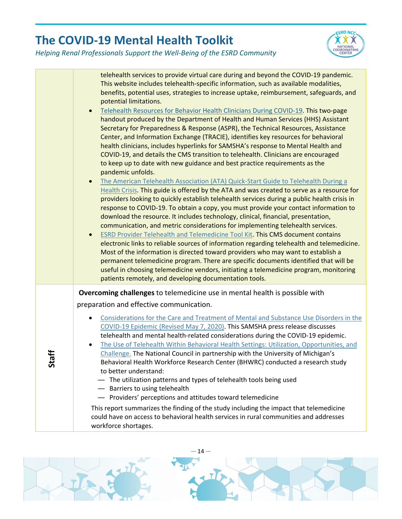

|          | telehealth services to provide virtual care during and beyond the COVID-19 pandemic.<br>This website includes telehealth-specific information, such as available modalities,<br>benefits, potential uses, strategies to increase uptake, reimbursement, safeguards, and<br>potential limitations.<br>Telehealth Resources for Behavior Health Clinicians During COVID-19. This two-page<br>handout produced by the Department of Health and Human Services (HHS) Assistant<br>Secretary for Preparedness & Response (ASPR), the Technical Resources, Assistance<br>Center, and Information Exchange (TRACIE), identifies key resources for behavioral<br>health clinicians, includes hyperlinks for SAMSHA's response to Mental Health and<br>COVID-19, and details the CMS transition to telehealth. Clinicians are encouraged<br>to keep up to date with new guidance and best practice requirements as the<br>pandemic unfolds.<br>The American Telehealth Association (ATA) Quick-Start Guide to Telehealth During a<br>Health Crisis. This guide is offered by the ATA and was created to serve as a resource for<br>providers looking to quickly establish telehealth services during a public health crisis in<br>response to COVID-19. To obtain a copy, you must provide your contact information to<br>download the resource. It includes technology, clinical, financial, presentation,<br>communication, and metric considerations for implementing telehealth services.<br><b>ESRD Provider Telehealth and Telemedicine Tool Kit. This CMS document contains</b><br>electronic links to reliable sources of information regarding telehealth and telemedicine.<br>Most of the information is directed toward providers who may want to establish a<br>permanent telemedicine program. There are specific documents identified that will be<br>useful in choosing telemedicine vendors, initiating a telemedicine program, monitoring<br>patients remotely, and developing documentation tools. |
|----------|-------------------------------------------------------------------------------------------------------------------------------------------------------------------------------------------------------------------------------------------------------------------------------------------------------------------------------------------------------------------------------------------------------------------------------------------------------------------------------------------------------------------------------------------------------------------------------------------------------------------------------------------------------------------------------------------------------------------------------------------------------------------------------------------------------------------------------------------------------------------------------------------------------------------------------------------------------------------------------------------------------------------------------------------------------------------------------------------------------------------------------------------------------------------------------------------------------------------------------------------------------------------------------------------------------------------------------------------------------------------------------------------------------------------------------------------------------------------------------------------------------------------------------------------------------------------------------------------------------------------------------------------------------------------------------------------------------------------------------------------------------------------------------------------------------------------------------------------------------------------------------------------------------------------------------------------------------------------------------------------------------------|
| Heq<br>ທ | Overcoming challenges to telemedicine use in mental health is possible with<br>preparation and effective communication.<br>Considerations for the Care and Treatment of Mental and Substance Use Disorders in the<br>COVID-19 Epidemic (Revised May 7, 2020). This SAMSHA press release discusses<br>telehealth and mental health-related considerations during the COVID-19 epidemic.<br>The Use of Telehealth Within Behavioral Health Settings: Utilization, Opportunities, and<br>Challenge. The National Council in partnership with the University of Michigan's<br>Behavioral Health Workforce Research Center (BHWRC) conducted a research study<br>to better understand:<br>- The utilization patterns and types of telehealth tools being used<br>- Barriers to using telehealth<br>- Providers' perceptions and attitudes toward telemedicine<br>This report summarizes the finding of the study including the impact that telemedicine<br>could have on access to behavioral health services in rural communities and addresses<br>workforce shortages.                                                                                                                                                                                                                                                                                                                                                                                                                                                                                                                                                                                                                                                                                                                                                                                                                                                                                                                                         |

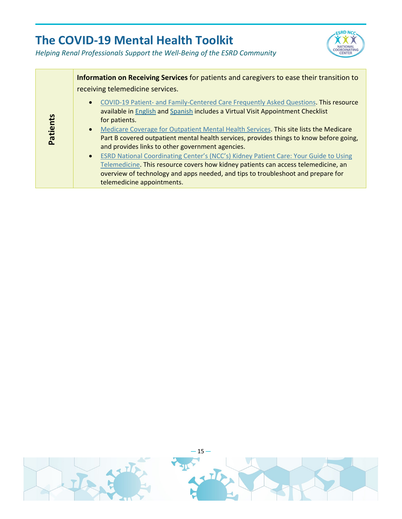

|          | Information on Receiving Services for patients and caregivers to ease their transition to<br>receiving telemedicine services.                                                                                                                                                                                                                                                                                                                                                                                                                                                                                                                                                                                                                              |
|----------|------------------------------------------------------------------------------------------------------------------------------------------------------------------------------------------------------------------------------------------------------------------------------------------------------------------------------------------------------------------------------------------------------------------------------------------------------------------------------------------------------------------------------------------------------------------------------------------------------------------------------------------------------------------------------------------------------------------------------------------------------------|
| Patients | COVID-19 Patient- and Family-Centered Care Frequently Asked Questions. This resource<br>available in English and Spanish includes a Virtual Visit Appointment Checklist<br>for patients.<br>Medicare Coverage for Outpatient Mental Health Services. This site lists the Medicare<br>$\bullet$<br>Part B covered outpatient mental health services, provides things to know before going,<br>and provides links to other government agencies.<br>ESRD National Coordinating Center's (NCC's) Kidney Patient Care: Your Guide to Using<br>$\bullet$<br>Telemedicine. This resource covers how kidney patients can access telemedicine, an<br>overview of technology and apps needed, and tips to troubleshoot and prepare for<br>telemedicine appointments. |

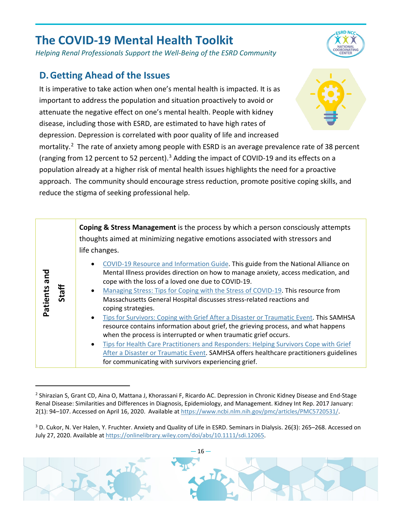*Helping Renal Professionals Support the Well-Being of the ESRD Community*

#### <span id="page-16-0"></span>**D.Getting Ahead of the Issues**

**Patients and Staff**

It is imperative to take action when one's mental health is impacted. It is as important to address the population and situation proactively to avoid or attenuate the negative effect on one's mental health. People with kidney disease, including those with ESRD, are estimated to have high rates of depression. Depression is correlated with poor quality of life and increased

mortality.<sup>[2](#page-16-1)</sup> The rate of anxiety among people with ESRD is an average prevalence rate of 38 percent (ranging from 12 percent to 52 percent).<sup>[3](#page-16-2)</sup> Adding the impact of COVID-19 and its effects on a population already at a higher risk of mental health issues highlights the need for a proactive approach. The community should encourage stress reduction, promote positive coping skills, and reduce the stigma of seeking professional help.

> **Coping & Stress Management** is the process by which a person consciously attempts thoughts aimed at minimizing negative emotions associated with stressors and life changes.

- [COVID-19 Resource and Information Guide.](https://www.nami.org/getattachment/About-NAMI/NAMI-News/2020/NAMI-Updates-on-the-Coronavirus/COVID-19-Updated-Guide-1.pdf) This guide from the National Alliance on Mental Illness provides direction on how to manage anxiety, access medication, and cope with the loss of a loved one due to COVID-19.
- [Managing Stress: Tips for Coping with the Stress of COVID-19.](https://www.massgeneral.org/assets/MGH/pdf/psychiatry/HSPH-COVID-19-mental-health-tips-3-11-20_kk.pdf) This resource from Massachusetts General Hospital discusses stress-related reactions and coping strategies.
- [Tips for Survivors: Coping with Grief After a Disaster or Traumatic Event.](https://store.samhsa.gov/sites/default/files/d7/priv/sma17-5035.pdf) This SAMHSA resource contains information about grief, the grieving process, and what happens when the process is interrupted or when traumatic grief occurs.
- [Tips for Health Care Practitioners and Responders: Helping Survivors Cope with Grief](https://store.samhsa.gov/sites/default/files/d7/priv/sma17-5036.pdf)  [After a Disaster or Traumatic Event.](https://store.samhsa.gov/sites/default/files/d7/priv/sma17-5036.pdf) SAMHSA offers healthcare practitioners guidelines for communicating with survivors experiencing grief.

<span id="page-16-2"></span><span id="page-16-1"></span><sup>3</sup> D. Cukor, N. Ver Halen, Y. Fruchter. Anxiety and Quality of Life in ESRD. Seminars in Dialysis. 26(3): 265–268. Accessed on July 27, 2020. Available at [https://onlinelibrary.wiley.com/doi/abs/10.1111/sdi.12065.](https://onlinelibrary.wiley.com/doi/abs/10.1111/sdi.12065) 







<sup>&</sup>lt;sup>2</sup> Shirazian S, Grant CD, Aina O, Mattana J, Khorassani F, Ricardo AC. Depression in Chronic Kidney Disease and End-Stage Renal Disease: Similarities and Differences in Diagnosis, Epidemiology, and Management. Kidney Int Rep. 2017 January: 2(1): 94–107. Accessed on April 16, 2020. Available at [https://www.ncbi.nlm.nih.gov/pmc/articles/PMC5720531/.](https://www.ncbi.nlm.nih.gov/pmc/articles/PMC5720531/)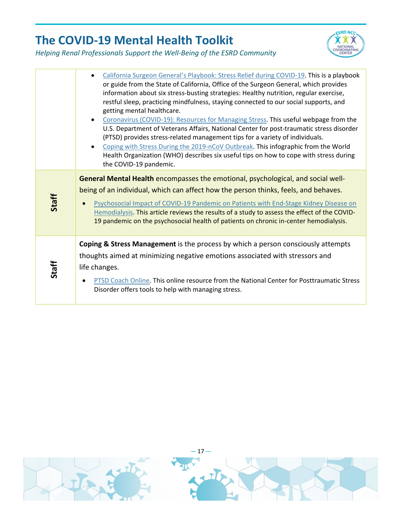

|       | California Surgeon General's Playbook: Stress Relief during COVID-19. This is a playbook<br>or guide from the State of California, Office of the Surgeon General, which provides<br>information about six stress-busting strategies: Healthy nutrition, regular exercise,<br>restful sleep, practicing mindfulness, staying connected to our social supports, and<br>getting mental healthcare.<br>Coronavirus (COVID-19): Resources for Managing Stress. This useful webpage from the<br>U.S. Department of Veterans Affairs, National Center for post-traumatic stress disorder<br>(PTSD) provides stress-related management tips for a variety of individuals.<br>Coping with Stress During the 2019-nCoV Outbreak. This infographic from the World<br>Health Organization (WHO) describes six useful tips on how to cope with stress during<br>the COVID-19 pandemic. |
|-------|---------------------------------------------------------------------------------------------------------------------------------------------------------------------------------------------------------------------------------------------------------------------------------------------------------------------------------------------------------------------------------------------------------------------------------------------------------------------------------------------------------------------------------------------------------------------------------------------------------------------------------------------------------------------------------------------------------------------------------------------------------------------------------------------------------------------------------------------------------------------------|
| Staff | General Mental Health encompasses the emotional, psychological, and social well-<br>being of an individual, which can affect how the person thinks, feels, and behaves.<br>Psychosocial Impact of COVID-19 Pandemic on Patients with End-Stage Kidney Disease on<br>Hemodialysis. This article reviews the results of a study to assess the effect of the COVID-<br>19 pandemic on the psychosocial health of patients on chronic in-center hemodialysis.                                                                                                                                                                                                                                                                                                                                                                                                                 |
| Staff | Coping & Stress Management is the process by which a person consciously attempts<br>thoughts aimed at minimizing negative emotions associated with stressors and<br>life changes.<br>PTSD Coach Online. This online resource from the National Center for Posttraumatic Stress<br>Disorder offers tools to help with managing stress.                                                                                                                                                                                                                                                                                                                                                                                                                                                                                                                                     |

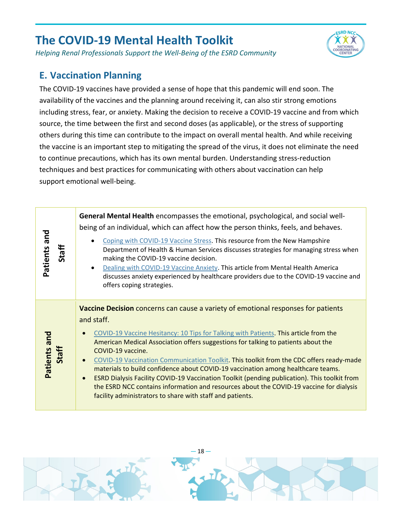*Helping Renal Professionals Support the Well-Being of the ESRD Community*

## <span id="page-18-0"></span>**E. Vaccination Planning**

The COVID-19 vaccines have provided a sense of hope that this pandemic will end soon. The availability of the vaccines and the planning around receiving it, can also stir strong emotions including stress, fear, or anxiety. Making the decision to receive a COVID-19 vaccine and from which source, the time between the first and second doses (as applicable), or the stress of supporting others during this time can contribute to the impact on overall mental health. And while receiving the vaccine is an important step to mitigating the spread of the virus, it does not eliminate the need to continue precautions, which has its own mental burden. Understanding stress-reduction techniques and best practices for communicating with others about vaccination can help support emotional well-being.

**ESRD NCC**  $\alpha x$ 

| Patients and<br>Staff | General Mental Health encompasses the emotional, psychological, and social well-<br>being of an individual, which can affect how the person thinks, feels, and behaves.<br>Coping with COVID-19 Vaccine Stress. This resource from the New Hampshire<br>Department of Health & Human Services discusses strategies for managing stress when<br>making the COVID-19 vaccine decision.<br>Dealing with COVID-19 Vaccine Anxiety. This article from Mental Health America<br>$\bullet$<br>discusses anxiety experienced by healthcare providers due to the COVID-19 vaccine and<br>offers coping strategies.                                                                                                                                |
|-----------------------|------------------------------------------------------------------------------------------------------------------------------------------------------------------------------------------------------------------------------------------------------------------------------------------------------------------------------------------------------------------------------------------------------------------------------------------------------------------------------------------------------------------------------------------------------------------------------------------------------------------------------------------------------------------------------------------------------------------------------------------|
| Patients and<br>Staff | Vaccine Decision concerns can cause a variety of emotional responses for patients<br>and staff.<br>COVID-19 Vaccine Hesitancy: 10 Tips for Talking with Patients. This article from the<br>American Medical Association offers suggestions for talking to patients about the<br>COVID-19 vaccine.<br>COVID-19 Vaccination Communication Toolkit. This toolkit from the CDC offers ready-made<br>materials to build confidence about COVID-19 vaccination among healthcare teams.<br>ESRD Dialysis Facility COVID-19 Vaccination Toolkit (pending publication). This toolkit from<br>the ESRD NCC contains information and resources about the COVID-19 vaccine for dialysis<br>facility administrators to share with staff and patients. |